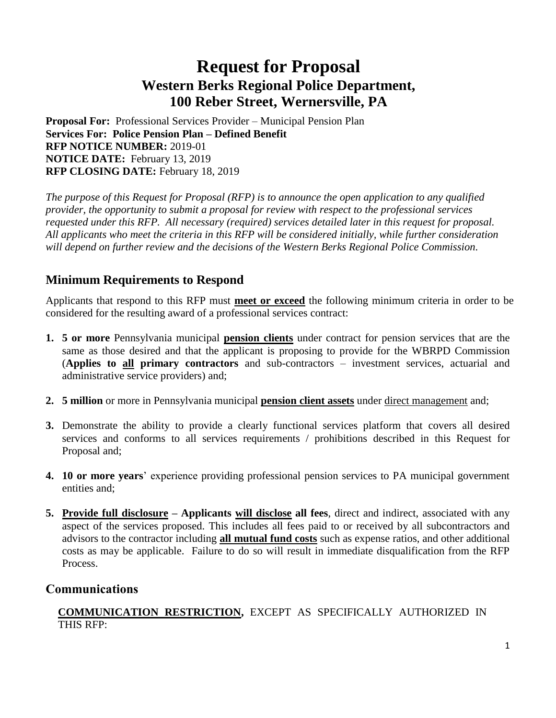# **Request for Proposal Western Berks Regional Police Department, 100 Reber Street, Wernersville, PA**

**Proposal For:** Professional Services Provider – Municipal Pension Plan **Services For: Police Pension Plan – Defined Benefit RFP NOTICE NUMBER:** 2019-01 **NOTICE DATE:** February 13, 2019 **RFP CLOSING DATE:** February 18, 2019

*The purpose of this Request for Proposal (RFP) is to announce the open application to any qualified provider, the opportunity to submit a proposal for review with respect to the professional services requested under this RFP. All necessary (required) services detailed later in this request for proposal. All applicants who meet the criteria in this RFP will be considered initially, while further consideration will depend on further review and the decisions of the Western Berks Regional Police Commission.*  

## **Minimum Requirements to Respond**

Applicants that respond to this RFP must **meet or exceed** the following minimum criteria in order to be considered for the resulting award of a professional services contract:

- **1. 5 or more** Pennsylvania municipal **pension clients** under contract for pension services that are the same as those desired and that the applicant is proposing to provide for the WBRPD Commission (**Applies to all primary contractors** and sub-contractors – investment services, actuarial and administrative service providers) and;
- **2. 5 million** or more in Pennsylvania municipal **pension client assets** under direct management and;
- **3.** Demonstrate the ability to provide a clearly functional services platform that covers all desired services and conforms to all services requirements / prohibitions described in this Request for Proposal and;
- **4. 10 or more years**' experience providing professional pension services to PA municipal government entities and;
- **5. Provide full disclosure – Applicants will disclose all fees**, direct and indirect, associated with any aspect of the services proposed. This includes all fees paid to or received by all subcontractors and advisors to the contractor including **all mutual fund costs** such as expense ratios, and other additional costs as may be applicable. Failure to do so will result in immediate disqualification from the RFP Process.

### **Communications**

**COMMUNICATION RESTRICTION,** EXCEPT AS SPECIFICALLY AUTHORIZED IN THIS RFP: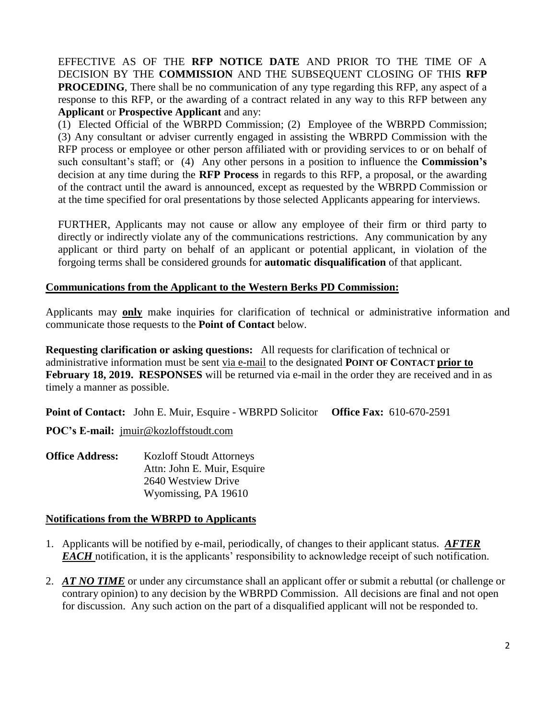EFFECTIVE AS OF THE **RFP NOTICE DATE** AND PRIOR TO THE TIME OF A DECISION BY THE **COMMISSION** AND THE SUBSEQUENT CLOSING OF THIS **RFP PROCEDING**, There shall be no communication of any type regarding this RFP, any aspect of a response to this RFP, or the awarding of a contract related in any way to this RFP between any **Applicant** or **Prospective Applicant** and any:

(1) Elected Official of the WBRPD Commission; (2) Employee of the WBRPD Commission; (3) Any consultant or adviser currently engaged in assisting the WBRPD Commission with the RFP process or employee or other person affiliated with or providing services to or on behalf of such consultant's staff; or (4) Any other persons in a position to influence the **Commission's** decision at any time during the **RFP Process** in regards to this RFP, a proposal, or the awarding of the contract until the award is announced, except as requested by the WBRPD Commission or at the time specified for oral presentations by those selected Applicants appearing for interviews.

FURTHER, Applicants may not cause or allow any employee of their firm or third party to directly or indirectly violate any of the communications restrictions. Any communication by any applicant or third party on behalf of an applicant or potential applicant, in violation of the forgoing terms shall be considered grounds for **automatic disqualification** of that applicant.

#### **Communications from the Applicant to the Western Berks PD Commission:**

Applicants may **only** make inquiries for clarification of technical or administrative information and communicate those requests to the **Point of Contact** below.

**Requesting clarification or asking questions:** All requests for clarification of technical or administrative information must be sent via e-mail to the designated **POINT OF CONTACT prior to February 18, 2019. RESPONSES** will be returned via e-mail in the order they are received and in as timely a manner as possible.

**Point of Contact:** John E. Muir, Esquire - WBRPD Solicitor **Office Fax:** 610-670-2591

**POC's E-mail:** [jmuir@kozloffstoudt.com](mailto:jmuir@kozloffstoudt.com)

**Office Address:** Kozloff Stoudt Attorneys Attn: John E. Muir, Esquire 2640 Westview Drive Wyomissing, PA 19610

#### **Notifications from the WBRPD to Applicants**

- 1. Applicants will be notified by e-mail, periodically, of changes to their applicant status. *AFTER EACH* notification, it is the applicants' responsibility to acknowledge receipt of such notification.
- 2. *AT NO TIME* or under any circumstance shall an applicant offer or submit a rebuttal (or challenge or contrary opinion) to any decision by the WBRPD Commission. All decisions are final and not open for discussion. Any such action on the part of a disqualified applicant will not be responded to.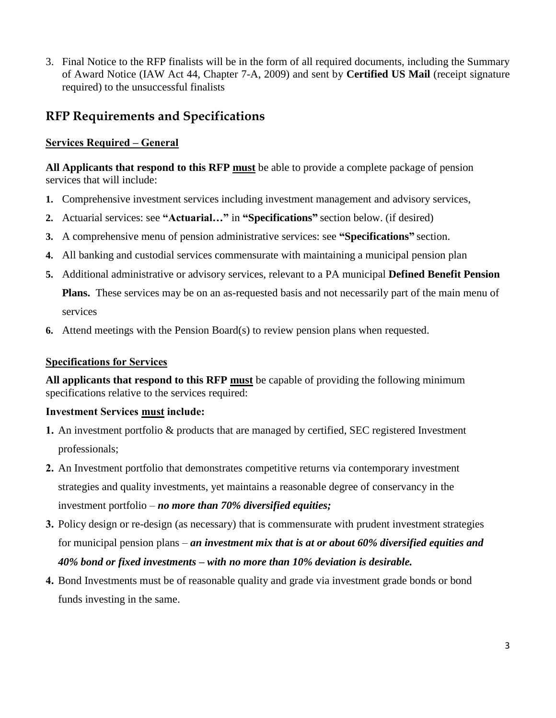3. Final Notice to the RFP finalists will be in the form of all required documents, including the Summary of Award Notice (IAW Act 44, Chapter 7-A, 2009) and sent by **Certified US Mail** (receipt signature required) to the unsuccessful finalists

## **RFP Requirements and Specifications**

#### **Services Required – General**

**All Applicants that respond to this RFP must** be able to provide a complete package of pension services that will include:

- **1.** Comprehensive investment services including investment management and advisory services,
- **2.** Actuarial services: see **"Actuarial…"** in **"Specifications"** section below. (if desired)
- **3.** A comprehensive menu of pension administrative services: see **"Specifications"** section.
- **4.** All banking and custodial services commensurate with maintaining a municipal pension plan
- **5.** Additional administrative or advisory services, relevant to a PA municipal **Defined Benefit Pension**

**Plans.** These services may be on an as-requested basis and not necessarily part of the main menu of services

**6.** Attend meetings with the Pension Board(s) to review pension plans when requested.

#### **Specifications for Services**

**All applicants that respond to this RFP must** be capable of providing the following minimum specifications relative to the services required:

#### **Investment Services must include:**

- **1.** An investment portfolio & products that are managed by certified, SEC registered Investment professionals;
- **2.** An Investment portfolio that demonstrates competitive returns via contemporary investment strategies and quality investments, yet maintains a reasonable degree of conservancy in the investment portfolio – *no more than 70% diversified equities;*
- **3.** Policy design or re-design (as necessary) that is commensurate with prudent investment strategies for municipal pension plans – *an investment mix that is at or about 60% diversified equities and 40% bond or fixed investments – with no more than 10% deviation is desirable.*
- **4.** Bond Investments must be of reasonable quality and grade via investment grade bonds or bond funds investing in the same.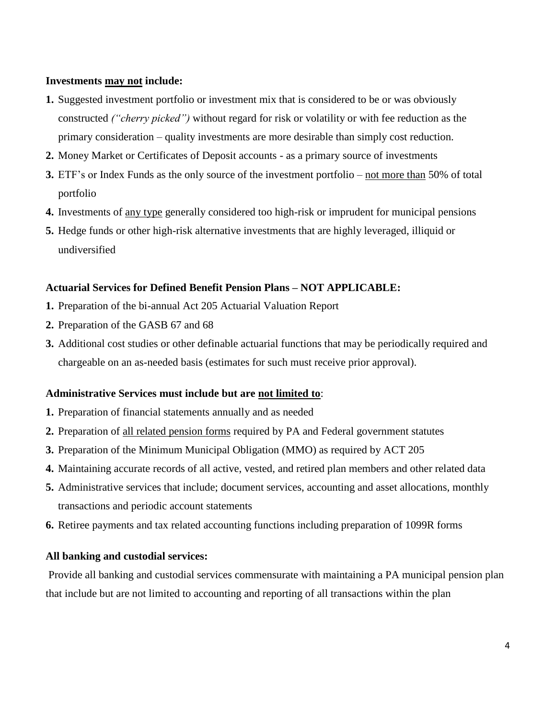#### **Investments may not include:**

- **1.** Suggested investment portfolio or investment mix that is considered to be or was obviously constructed *("cherry picked")* without regard for risk or volatility or with fee reduction as the primary consideration – quality investments are more desirable than simply cost reduction.
- **2.** Money Market or Certificates of Deposit accounts as a primary source of investments
- **3.** ETF's or Index Funds as the only source of the investment portfolio not more than 50% of total portfolio
- **4.** Investments of any type generally considered too high-risk or imprudent for municipal pensions
- **5.** Hedge funds or other high-risk alternative investments that are highly leveraged, illiquid or undiversified

#### **Actuarial Services for Defined Benefit Pension Plans – NOT APPLICABLE:**

- **1.** Preparation of the bi-annual Act 205 Actuarial Valuation Report
- **2.** Preparation of the GASB 67 and 68
- **3.** Additional cost studies or other definable actuarial functions that may be periodically required and chargeable on an as-needed basis (estimates for such must receive prior approval).

#### **Administrative Services must include but are not limited to**:

- **1.** Preparation of financial statements annually and as needed
- **2.** Preparation of all related pension forms required by PA and Federal government statutes
- **3.** Preparation of the Minimum Municipal Obligation (MMO) as required by ACT 205
- **4.** Maintaining accurate records of all active, vested, and retired plan members and other related data
- **5.** Administrative services that include; document services, accounting and asset allocations, monthly transactions and periodic account statements
- **6.** Retiree payments and tax related accounting functions including preparation of 1099R forms

#### **All banking and custodial services:**

Provide all banking and custodial services commensurate with maintaining a PA municipal pension plan that include but are not limited to accounting and reporting of all transactions within the plan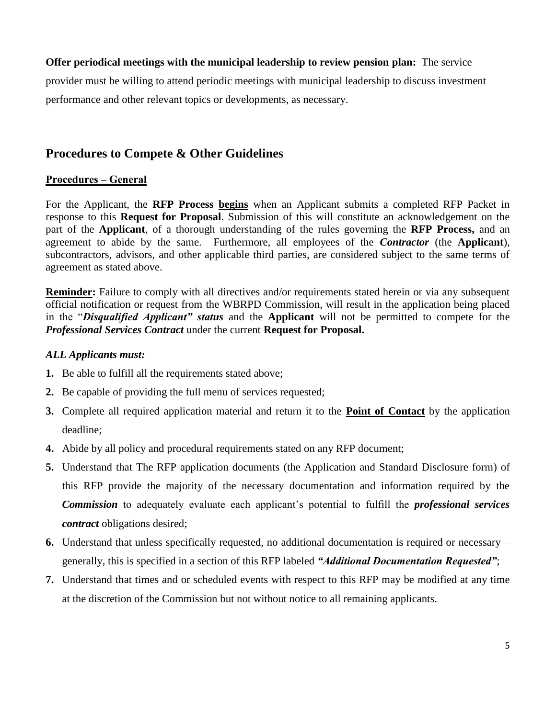#### **Offer periodical meetings with the municipal leadership to review pension plan:** The service

provider must be willing to attend periodic meetings with municipal leadership to discuss investment performance and other relevant topics or developments, as necessary.

### **Procedures to Compete & Other Guidelines**

#### **Procedures – General**

For the Applicant, the **RFP Process begins** when an Applicant submits a completed RFP Packet in response to this **Request for Proposal**. Submission of this will constitute an acknowledgement on the part of the **Applicant**, of a thorough understanding of the rules governing the **RFP Process,** and an agreement to abide by the same. Furthermore, all employees of the *Contractor* (the **Applicant**), subcontractors, advisors, and other applicable third parties, are considered subject to the same terms of agreement as stated above.

**Reminder:** Failure to comply with all directives and/or requirements stated herein or via any subsequent official notification or request from the WBRPD Commission, will result in the application being placed in the "*Disqualified Applicant" status* and the **Applicant** will not be permitted to compete for the *Professional Services Contract* under the current **Request for Proposal.**

#### *ALL Applicants must:*

- **1.** Be able to fulfill all the requirements stated above;
- **2.** Be capable of providing the full menu of services requested;
- **3.** Complete all required application material and return it to the **Point of Contact** by the application deadline;
- **4.** Abide by all policy and procedural requirements stated on any RFP document;
- **5.** Understand that The RFP application documents (the Application and Standard Disclosure form) of this RFP provide the majority of the necessary documentation and information required by the *Commission* to adequately evaluate each applicant's potential to fulfill the *professional services contract* obligations desired;
- **6.** Understand that unless specifically requested, no additional documentation is required or necessary generally, this is specified in a section of this RFP labeled *"Additional Documentation Requested"*;
- **7.** Understand that times and or scheduled events with respect to this RFP may be modified at any time at the discretion of the Commission but not without notice to all remaining applicants.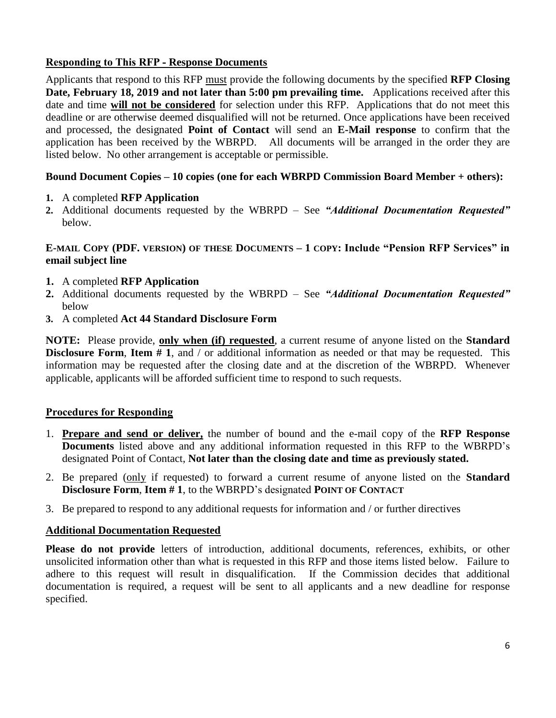#### **Responding to This RFP - Response Documents**

Applicants that respond to this RFP must provide the following documents by the specified **RFP Closing Date, February 18, 2019 and not later than 5:00 pm prevailing time.** Applications received after this date and time **will not be considered** for selection under this RFP. Applications that do not meet this deadline or are otherwise deemed disqualified will not be returned. Once applications have been received and processed, the designated **Point of Contact** will send an **E-Mail response** to confirm that the application has been received by the WBRPD. All documents will be arranged in the order they are listed below. No other arrangement is acceptable or permissible.

#### **Bound Document Copies – 10 copies (one for each WBRPD Commission Board Member + others):**

- **1.** A completed **RFP Application**
- **2.** Additional documents requested by the WBRPD See *"Additional Documentation Requested"* below.

#### **E-MAIL COPY (PDF. VERSION) OF THESE DOCUMENTS – 1 COPY: Include "Pension RFP Services" in email subject line**

- **1.** A completed **RFP Application**
- **2.** Additional documents requested by the WBRPD See *"Additional Documentation Requested"* below
- **3.** A completed **Act 44 Standard Disclosure Form**

**NOTE:** Please provide, **only when (if) requested**, a current resume of anyone listed on the **Standard Disclosure Form, Item # 1,** and / or additional information as needed or that may be requested. This information may be requested after the closing date and at the discretion of the WBRPD. Whenever applicable, applicants will be afforded sufficient time to respond to such requests.

#### **Procedures for Responding**

- 1. **Prepare and send or deliver,** the number of bound and the e-mail copy of the **RFP Response Documents** listed above and any additional information requested in this RFP to the WBRPD's designated Point of Contact, **Not later than the closing date and time as previously stated.**
- 2. Be prepared (only if requested) to forward a current resume of anyone listed on the **Standard Disclosure Form**, **Item # 1**, to the WBRPD's designated **POINT OF CONTACT**
- 3. Be prepared to respond to any additional requests for information and / or further directives

#### **Additional Documentation Requested**

Please do not provide letters of introduction, additional documents, references, exhibits, or other unsolicited information other than what is requested in this RFP and those items listed below. Failure to adhere to this request will result in disqualification. If the Commission decides that additional documentation is required, a request will be sent to all applicants and a new deadline for response specified.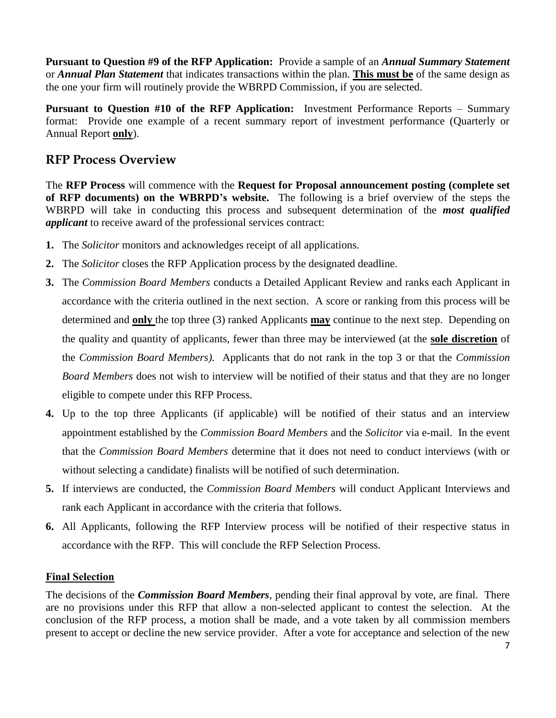**Pursuant to Question #9 of the RFP Application:** Provide a sample of an *Annual Summary Statement* or *Annual Plan Statement* that indicates transactions within the plan. **This must be** of the same design as the one your firm will routinely provide the WBRPD Commission, if you are selected.

**Pursuant to Question #10 of the RFP Application:** Investment Performance Reports – Summary format: Provide one example of a recent summary report of investment performance (Quarterly or Annual Report **only**).

## **RFP Process Overview**

The **RFP Process** will commence with the **Request for Proposal announcement posting (complete set of RFP documents) on the WBRPD's website.** The following is a brief overview of the steps the WBRPD will take in conducting this process and subsequent determination of the *most qualified applicant* to receive award of the professional services contract:

- **1.** The *Solicitor* monitors and acknowledges receipt of all applications.
- **2.** The *Solicitor* closes the RFP Application process by the designated deadline.
- **3.** The *Commission Board Members* conducts a Detailed Applicant Review and ranks each Applicant in accordance with the criteria outlined in the next section. A score or ranking from this process will be determined and **only** the top three (3) ranked Applicants **may** continue to the next step. Depending on the quality and quantity of applicants, fewer than three may be interviewed (at the **sole discretion** of the *Commission Board Members).* Applicants that do not rank in the top 3 or that the *Commission Board Members* does not wish to interview will be notified of their status and that they are no longer eligible to compete under this RFP Process.
- **4.** Up to the top three Applicants (if applicable) will be notified of their status and an interview appointment established by the *Commission Board Members* and the *Solicitor* via e-mail. In the event that the *Commission Board Members* determine that it does not need to conduct interviews (with or without selecting a candidate) finalists will be notified of such determination.
- **5.** If interviews are conducted, the *Commission Board Members* will conduct Applicant Interviews and rank each Applicant in accordance with the criteria that follows.
- **6.** All Applicants, following the RFP Interview process will be notified of their respective status in accordance with the RFP. This will conclude the RFP Selection Process.

#### **Final Selection**

The decisions of the *Commission Board Members*, pending their final approval by vote, are final. There are no provisions under this RFP that allow a non-selected applicant to contest the selection. At the conclusion of the RFP process, a motion shall be made, and a vote taken by all commission members present to accept or decline the new service provider. After a vote for acceptance and selection of the new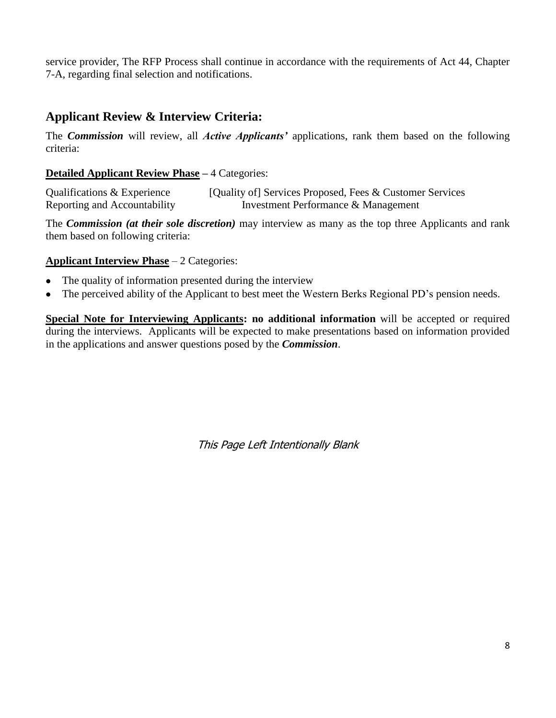service provider, The RFP Process shall continue in accordance with the requirements of Act 44, Chapter 7-A, regarding final selection and notifications.

## **Applicant Review & Interview Criteria:**

The *Commission* will review, all *Active Applicants'* applications, rank them based on the following criteria:

#### **Detailed Applicant Review Phase –** 4 Categories:

Qualifications & Experience [Quality of] Services Proposed, Fees & Customer Services Reporting and Accountability Investment Performance & Management

The *Commission (at their sole discretion)* may interview as many as the top three Applicants and rank them based on following criteria:

#### **Applicant Interview Phase** – 2 Categories:

- The quality of information presented during the interview
- The perceived ability of the Applicant to best meet the Western Berks Regional PD's pension needs.

**Special Note for Interviewing Applicants: no additional information** will be accepted or required during the interviews. Applicants will be expected to make presentations based on information provided in the applications and answer questions posed by the *Commission*.

This Page Left Intentionally Blank